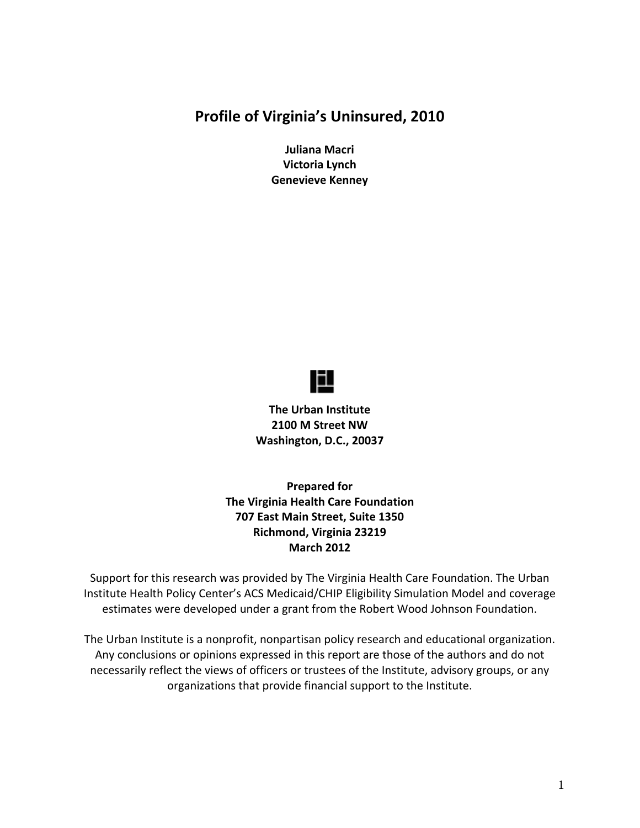#### **Profile of Virginia's Uninsured, 2010**

**Juliana Macri Victoria Lynch Genevieve Kenney**



**The Urban Institute 2100 M Street NW Washington, D.C., 20037**

**Prepared for The Virginia Health Care Foundation 707 East Main Street, Suite 1350 Richmond, Virginia 23219 March 2012**

Support for this research was provided by The Virginia Health Care Foundation. The Urban Institute Health Policy Center's ACS Medicaid/CHIP Eligibility Simulation Model and coverage estimates were developed under a grant from the Robert Wood Johnson Foundation.

The Urban Institute is a nonprofit, nonpartisan policy research and educational organization. Any conclusions or opinions expressed in this report are those of the authors and do not necessarily reflect the views of officers or trustees of the Institute, advisory groups, or any organizations that provide financial support to the Institute.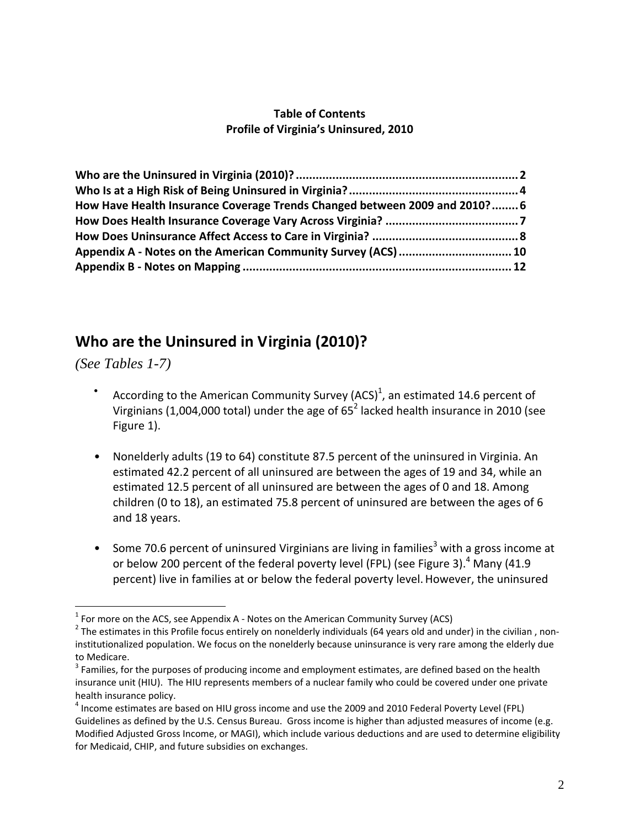#### **Table of Contents Profile of Virginia's Uninsured, 2010**

| How Have Health Insurance Coverage Trends Changed between 2009 and 2010? 6 |                                                               |  |
|----------------------------------------------------------------------------|---------------------------------------------------------------|--|
|                                                                            |                                                               |  |
|                                                                            |                                                               |  |
|                                                                            | Appendix A - Notes on the American Community Survey (ACS)  10 |  |
|                                                                            |                                                               |  |
|                                                                            |                                                               |  |

### **Who are the Uninsured in Virginia (2010)?**

*(See Tables 1-7)* 

- According to the American Community Survey (ACS)<sup>1</sup>, an estimated 14.6 percent of Virginians (1,004,000 total) under the age of  $65^2$  lacked health insurance in 2010 (see Figure 1).
- Nonelderly adults (19 to 64) constitute 87.5 percent of the uninsured in Virginia. An estimated 42.2 percent of all uninsured are between the ages of 19 and 34, while an estimated 12.5 percent of all uninsured are between the ages of 0 and 18. Among children (0 to 18), an estimated 75.8 percent of uninsured are between the ages of 6 and 18 years.
- Some 70.6 percent of uninsured Virginians are living in families<sup>3</sup> with a gross income at or below 200 percent of the federal poverty level (FPL) (see Figure 3).<sup>4</sup> Many (41.9 percent) live in families at or below the federal poverty level.However, the uninsured

 $1$  For more on the ACS, see Appendix A - Notes on the American Community Survey (ACS)

<sup>&</sup>lt;sup>2</sup> The estimates in this Profile focus entirely on nonelderly individuals (64 years old and under) in the civilian , noninstitutionalized population. We focus on the nonelderly because uninsurance is very rare among the elderly due to Medicare.<br><sup>3</sup> Families, for the purposes of producing income and employment estimates, are defined based on the health

insurance unit (HIU). The HIU represents members of a nuclear family who could be covered under one private health insurance policy.<br><sup>4</sup> Income estimates are based on HIU gross income and use the 2009 and 2010 Federal Poverty Level (FPL)

Guidelines as defined by the U.S. Census Bureau. Gross income is higher than adjusted measures of income (e.g. Modified Adjusted Gross Income, or MAGI), which include various deductions and are used to determine eligibility for Medicaid, CHIP, and future subsidies on exchanges.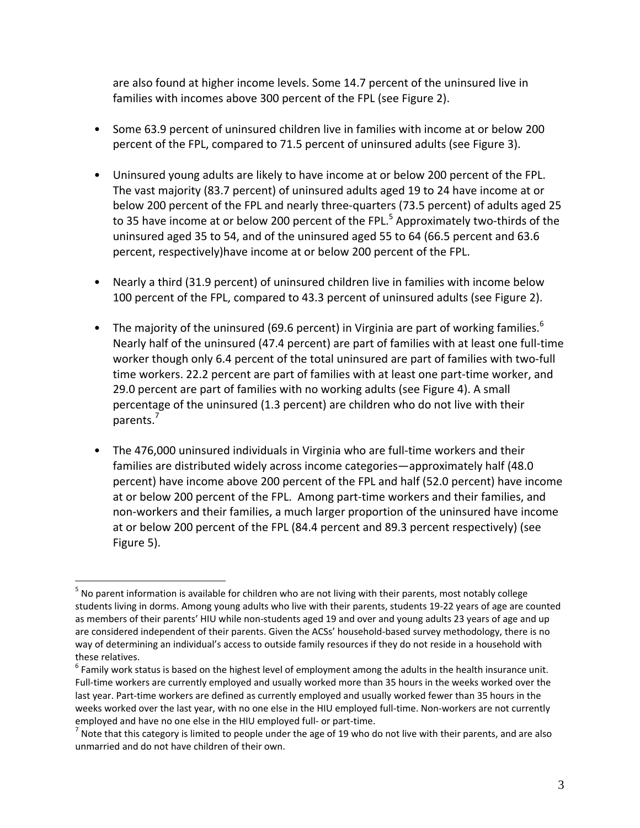are also found at higher income levels. Some 14.7 percent of the uninsured live in families with incomes above 300 percent of the FPL (see Figure 2).

- Some 63.9 percent of uninsured children live in families with income at or below 200 percent of the FPL, compared to 71.5 percent of uninsured adults (see Figure 3).
- Uninsured young adults are likely to have income at or below 200 percent of the FPL. The vast majority (83.7 percent) of uninsured adults aged 19 to 24 have income at or below 200 percent of the FPL and nearly three‐quarters (73.5 percent) of adults aged 25 to 35 have income at or below 200 percent of the FPL.<sup>5</sup> Approximately two-thirds of the uninsured aged 35 to 54, and of the uninsured aged 55 to 64 (66.5 percent and 63.6 percent, respectively)have income at or below 200 percent of the FPL.
- Nearly a third (31.9 percent) of uninsured children live in families with income below 100 percent of the FPL, compared to 43.3 percent of uninsured adults (see Figure 2).
- The majority of the uninsured (69.6 percent) in Virginia are part of working families.<sup>6</sup> Nearly half of the uninsured (47.4 percent) are part of families with at least one full‐time worker though only 6.4 percent of the total uninsured are part of families with two‐full time workers. 22.2 percent are part of families with at least one part‐time worker, and 29.0 percent are part of families with no working adults (see Figure 4). A small percentage of the uninsured (1.3 percent) are children who do not live with their parents.<sup>7</sup>
- The 476,000 uninsured individuals in Virginia who are full‐time workers and their families are distributed widely across income categories—approximately half (48.0 percent) have income above 200 percent of the FPL and half (52.0 percent) have income at or below 200 percent of the FPL. Among part‐time workers and their families, and non‐workers and their families, a much larger proportion of the uninsured have income at or below 200 percent of the FPL (84.4 percent and 89.3 percent respectively) (see Figure 5).

 $\overline{a}$ 

<sup>&</sup>lt;sup>5</sup> No parent information is available for children who are not living with their parents, most notably college students living in dorms. Among young adults who live with their parents, students 19‐22 years of age are counted as members of their parents' HIU while non-students aged 19 and over and young adults 23 years of age and up are considered independent of their parents. Given the ACSs' household-based survey methodology, there is no way of determining an individual's access to outside family resources if they do not reside in a household with these relatives.<br><sup>6</sup> Family work status is based on the highest level of employment among the adults in the health insurance unit.

Full-time workers are currently employed and usually worked more than 35 hours in the weeks worked over the last year. Part‐time workers are defined as currently employed and usually worked fewer than 35 hours in the weeks worked over the last year, with no one else in the HIU employed full-time. Non-workers are not currently employed and have no one else in the HIU employed full- or part-time.<br><sup>7</sup> Note that this category is limited to people under the age of 19 who do not live with their parents, and are also

unmarried and do not have children of their own.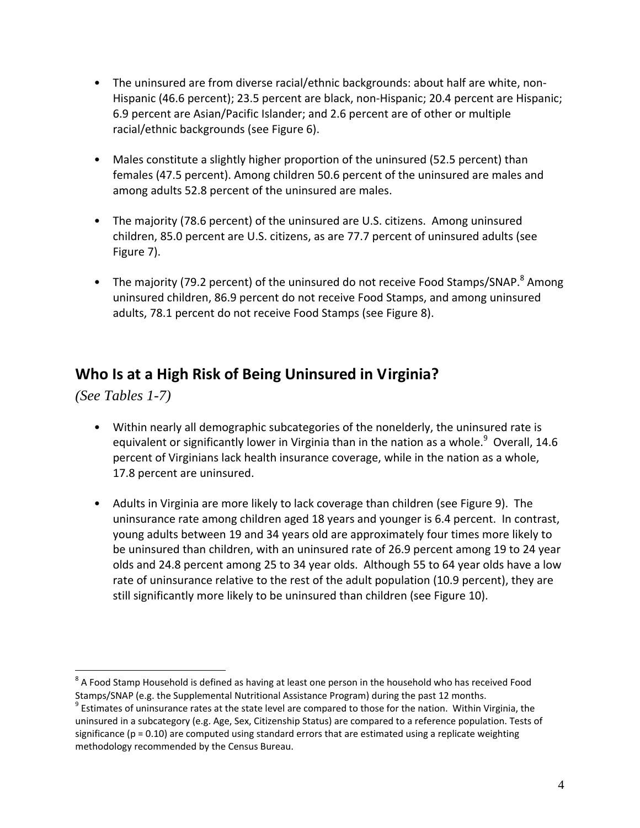- The uninsured are from diverse racial/ethnic backgrounds: about half are white, non-Hispanic (46.6 percent); 23.5 percent are black, non-Hispanic; 20.4 percent are Hispanic; 6.9 percent are Asian/Pacific Islander; and 2.6 percent are of other or multiple racial/ethnic backgrounds (see Figure 6).
- Males constitute a slightly higher proportion of the uninsured (52.5 percent) than females (47.5 percent). Among children 50.6 percent of the uninsured are males and among adults 52.8 percent of the uninsured are males.
- The majority (78.6 percent) of the uninsured are U.S. citizens. Among uninsured children, 85.0 percent are U.S. citizens, as are 77.7 percent of uninsured adults (see Figure 7).
- The majority (79.2 percent) of the uninsured do not receive Food Stamps/SNAP. $^8$  Among uninsured children, 86.9 percent do not receive Food Stamps, and among uninsured adults, 78.1 percent do not receive Food Stamps (see Figure 8).

## **Who Is at a High Risk of Being Uninsured in Virginia?**

*(See Tables 1-7)* 

- Within nearly all demographic subcategories of the nonelderly, the uninsured rate is equivalent or significantly lower in Virginia than in the nation as a whole. $^9$  Overall, 14.6 percent of Virginians lack health insurance coverage, while in the nation as a whole, 17.8 percent are uninsured.
- Adults in Virginia are more likely to lack coverage than children (see Figure 9). The uninsurance rate among children aged 18 years and younger is 6.4 percent. In contrast, young adults between 19 and 34 years old are approximately four times more likely to be uninsured than children, with an uninsured rate of 26.9 percent among 19 to 24 year olds and 24.8 percent among 25 to 34 year olds. Although 55 to 64 year olds have a low rate of uninsurance relative to the rest of the adult population (10.9 percent), they are still significantly more likely to be uninsured than children (see Figure 10).

 $\overline{a}$ <sup>8</sup> A Food Stamp Household is defined as having at least one person in the household who has received Food<br>Stamps/SNAP (e.g. the Supplemental Nutritional Assistance Program) during the past 12 months.

<sup>&</sup>lt;sup>9</sup> Estimates of uninsurance rates at the state level are compared to those for the nation. Within Virginia, the uninsured in a subcategory (e.g. Age, Sex, Citizenship Status) are compared to a reference population. Tests of significance ( $p = 0.10$ ) are computed using standard errors that are estimated using a replicate weighting methodology recommended by the Census Bureau.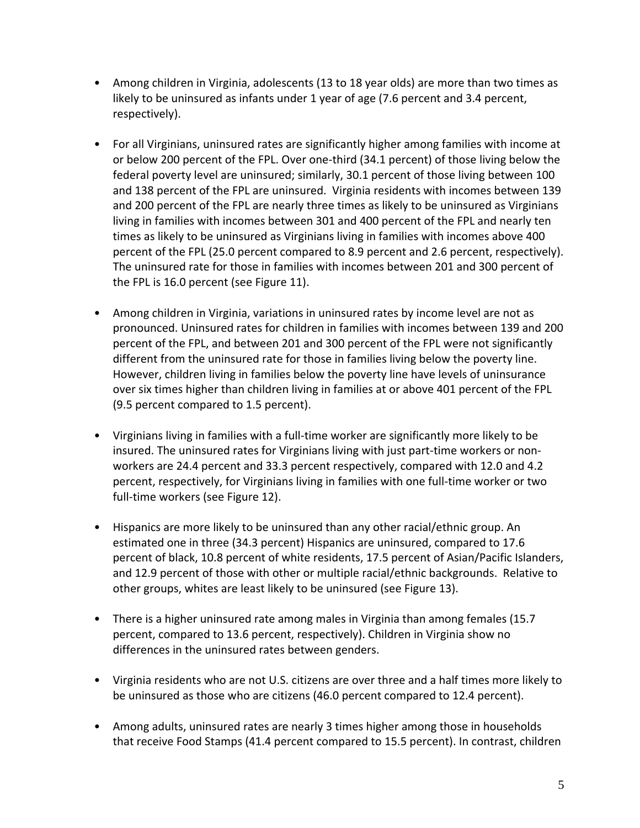- Among children in Virginia, adolescents (13 to 18 year olds) are more than two times as likely to be uninsured as infants under 1 year of age (7.6 percent and 3.4 percent, respectively).
- For all Virginians, uninsured rates are significantly higher among families with income at or below 200 percent of the FPL. Over one‐third (34.1 percent) of those living below the federal poverty level are uninsured; similarly, 30.1 percent of those living between 100 and 138 percent of the FPL are uninsured. Virginia residents with incomes between 139 and 200 percent of the FPL are nearly three times as likely to be uninsured as Virginians living in families with incomes between 301 and 400 percent of the FPL and nearly ten times as likely to be uninsured as Virginians living in families with incomes above 400 percent of the FPL (25.0 percent compared to 8.9 percent and 2.6 percent, respectively). The uninsured rate for those in families with incomes between 201 and 300 percent of the FPL is 16.0 percent (see Figure 11).
- Among children in Virginia, variations in uninsured rates by income level are not as pronounced. Uninsured rates for children in families with incomes between 139 and 200 percent of the FPL, and between 201 and 300 percent of the FPL were not significantly different from the uninsured rate for those in families living below the poverty line. However, children living in families below the poverty line have levels of uninsurance over six times higher than children living in families at or above 401 percent of the FPL (9.5 percent compared to 1.5 percent).
- Virginians living in families with a full-time worker are significantly more likely to be insured. The uninsured rates for Virginians living with just part‐time workers or non‐ workers are 24.4 percent and 33.3 percent respectively, compared with 12.0 and 4.2 percent, respectively, for Virginians living in families with one full‐time worker or two full-time workers (see Figure 12).
- Hispanics are more likely to be uninsured than any other racial/ethnic group. An estimated one in three (34.3 percent) Hispanics are uninsured, compared to 17.6 percent of black, 10.8 percent of white residents, 17.5 percent of Asian/Pacific Islanders, and 12.9 percent of those with other or multiple racial/ethnic backgrounds. Relative to other groups, whites are least likely to be uninsured (see Figure 13).
- There is a higher uninsured rate among males in Virginia than among females (15.7) percent, compared to 13.6 percent, respectively). Children in Virginia show no differences in the uninsured rates between genders.
- Virginia residents who are not U.S. citizens are over three and a half times more likely to be uninsured as those who are citizens (46.0 percent compared to 12.4 percent).
- Among adults, uninsured rates are nearly 3 times higher among those in households that receive Food Stamps (41.4 percent compared to 15.5 percent). In contrast, children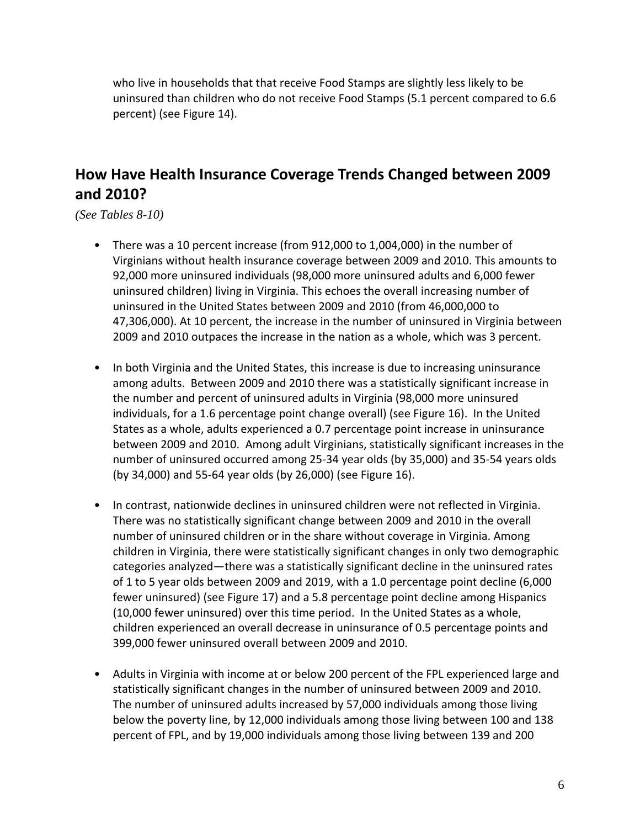who live in households that that receive Food Stamps are slightly less likely to be uninsured than children who do not receive Food Stamps (5.1 percent compared to 6.6 percent) (see Figure 14).

# **How Have Health Insurance Coverage Trends Changed between 2009 and 2010?**

*(See Tables 8-10)* 

- There was a 10 percent increase (from 912,000 to 1,004,000) in the number of Virginians without health insurance coverage between 2009 and 2010. This amounts to 92,000 more uninsured individuals (98,000 more uninsured adults and 6,000 fewer uninsured children) living in Virginia. This echoes the overall increasing number of uninsured in the United States between 2009 and 2010 (from 46,000,000 to 47,306,000). At 10 percent, the increase in the number of uninsured in Virginia between 2009 and 2010 outpaces the increase in the nation as a whole, which was 3 percent.
- In both Virginia and the United States, this increase is due to increasing uninsurance among adults. Between 2009 and 2010 there was a statistically significant increase in the number and percent of uninsured adults in Virginia (98,000 more uninsured individuals, for a 1.6 percentage point change overall) (see Figure 16). In the United States as a whole, adults experienced a 0.7 percentage point increase in uninsurance between 2009 and 2010. Among adult Virginians, statistically significant increases in the number of uninsured occurred among 25‐34 year olds (by 35,000) and 35‐54 years olds (by 34,000) and 55‐64 year olds (by 26,000) (see Figure 16).
- In contrast, nationwide declines in uninsured children were not reflected in Virginia. There was no statistically significant change between 2009 and 2010 in the overall number of uninsured children or in the share without coverage in Virginia. Among children in Virginia, there were statistically significant changes in only two demographic categories analyzed—there was a statistically significant decline in the uninsured rates of 1 to 5 year olds between 2009 and 2019, with a 1.0 percentage point decline (6,000 fewer uninsured) (see Figure 17) and a 5.8 percentage point decline among Hispanics (10,000 fewer uninsured) over this time period. In the United States as a whole, children experienced an overall decrease in uninsurance of 0.5 percentage points and 399,000 fewer uninsured overall between 2009 and 2010.
- Adults in Virginia with income at or below 200 percent of the FPL experienced large and statistically significant changes in the number of uninsured between 2009 and 2010. The number of uninsured adults increased by 57,000 individuals among those living below the poverty line, by 12,000 individuals among those living between 100 and 138 percent of FPL, and by 19,000 individuals among those living between 139 and 200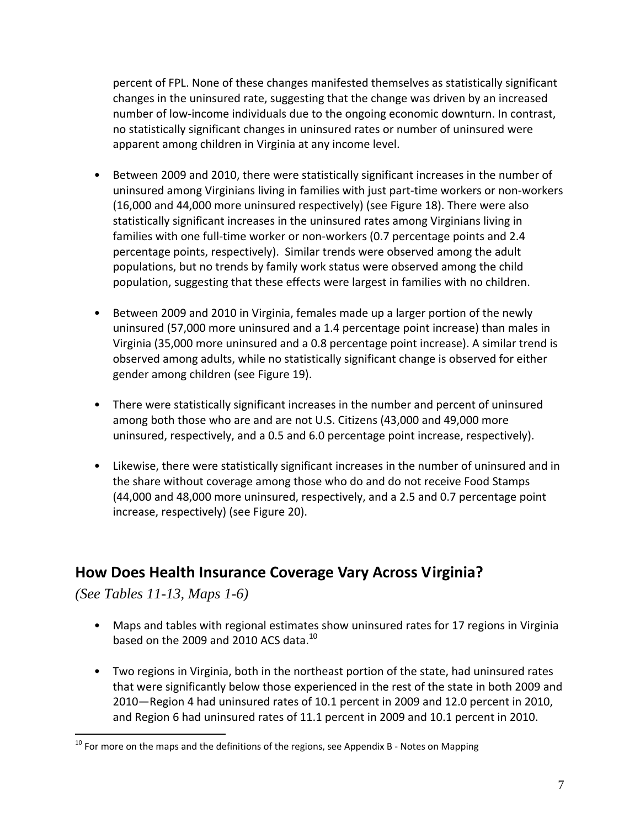percent of FPL. None of these changes manifested themselves as statistically significant changes in the uninsured rate, suggesting that the change was driven by an increased number of low‐income individuals due to the ongoing economic downturn. In contrast, no statistically significant changes in uninsured rates or number of uninsured were apparent among children in Virginia at any income level.

- Between 2009 and 2010, there were statistically significant increases in the number of uninsured among Virginians living in families with just part‐time workers or non‐workers (16,000 and 44,000 more uninsured respectively) (see Figure 18). There were also statistically significant increases in the uninsured rates among Virginians living in families with one full‐time worker or non‐workers (0.7 percentage points and 2.4 percentage points, respectively). Similar trends were observed among the adult populations, but no trends by family work status were observed among the child population, suggesting that these effects were largest in families with no children.
- Between 2009 and 2010 in Virginia, females made up a larger portion of the newly uninsured (57,000 more uninsured and a 1.4 percentage point increase) than males in Virginia (35,000 more uninsured and a 0.8 percentage point increase). A similar trend is observed among adults, while no statistically significant change is observed for either gender among children (see Figure 19).
- There were statistically significant increases in the number and percent of uninsured among both those who are and are not U.S. Citizens (43,000 and 49,000 more uninsured, respectively, and a 0.5 and 6.0 percentage point increase, respectively).
- Likewise, there were statistically significant increases in the number of uninsured and in the share without coverage among those who do and do not receive Food Stamps (44,000 and 48,000 more uninsured, respectively, and a 2.5 and 0.7 percentage point increase, respectively) (see Figure 20).

## **How Does Health Insurance Coverage Vary Across Virginia?**

*(See Tables 11-13, Maps 1-6)* 

 $\overline{a}$ 

- Maps and tables with regional estimates show uninsured rates for 17 regions in Virginia based on the 2009 and 2010 ACS data. $^{10}$
- Two regions in Virginia, both in the northeast portion of the state, had uninsured rates that were significantly below those experienced in the rest of the state in both 2009 and 2010—Region 4 had uninsured rates of 10.1 percent in 2009 and 12.0 percent in 2010, and Region 6 had uninsured rates of 11.1 percent in 2009 and 10.1 percent in 2010.

 $10$  For more on the maps and the definitions of the regions, see Appendix B - Notes on Mapping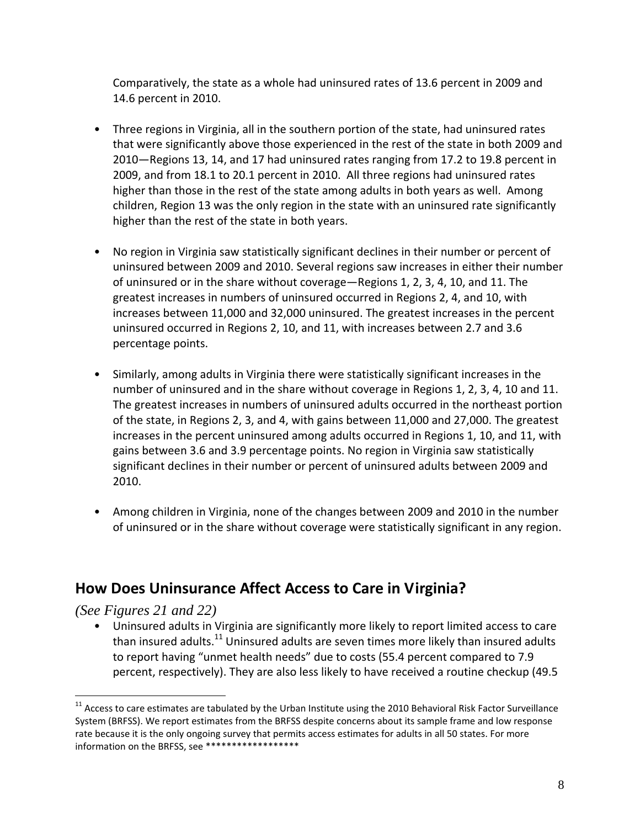Comparatively, the state as a whole had uninsured rates of 13.6 percent in 2009 and 14.6 percent in 2010.

- Three regions in Virginia, all in the southern portion of the state, had uninsured rates that were significantly above those experienced in the rest of the state in both 2009 and 2010—Regions 13, 14, and 17 had uninsured rates ranging from 17.2 to 19.8 percent in 2009, and from 18.1 to 20.1 percent in 2010. All three regions had uninsured rates higher than those in the rest of the state among adults in both years as well. Among children, Region 13 was the only region in the state with an uninsured rate significantly higher than the rest of the state in both years.
- No region in Virginia saw statistically significant declines in their number or percent of uninsured between 2009 and 2010. Several regions saw increases in either their number of uninsured or in the share without coverage—Regions 1, 2, 3, 4, 10, and 11. The greatest increases in numbers of uninsured occurred in Regions 2, 4, and 10, with increases between 11,000 and 32,000 uninsured. The greatest increases in the percent uninsured occurred in Regions 2, 10, and 11, with increases between 2.7 and 3.6 percentage points.
- Similarly, among adults in Virginia there were statistically significant increases in the number of uninsured and in the share without coverage in Regions 1, 2, 3, 4, 10 and 11. The greatest increases in numbers of uninsured adults occurred in the northeast portion of the state, in Regions 2, 3, and 4, with gains between 11,000 and 27,000. The greatest increases in the percent uninsured among adults occurred in Regions 1, 10, and 11, with gains between 3.6 and 3.9 percentage points. No region in Virginia saw statistically significant declines in their number or percent of uninsured adults between 2009 and 2010.
- Among children in Virginia, none of the changes between 2009 and 2010 in the number of uninsured or in the share without coverage were statistically significant in any region.

#### **How Does Uninsurance Affect Access to Care in Virginia?**

*(See Figures 21 and 22)* 

 $\overline{a}$ 

• Uninsured adults in Virginia are significantly more likely to report limited access to care than insured adults.<sup>11</sup> Uninsured adults are seven times more likely than insured adults to report having "unmet health needs" due to costs (55.4 percent compared to 7.9 percent, respectively). They are also less likely to have received a routine checkup (49.5

 $11$  Access to care estimates are tabulated by the Urban Institute using the 2010 Behavioral Risk Factor Surveillance System (BRFSS). We report estimates from the BRFSS despite concerns about its sample frame and low response rate because it is the only ongoing survey that permits access estimates for adults in all 50 states. For more information on the BRFSS, see \*\*\*\*\*\*\*\*\*\*\*\*\*\*\*\*\*\*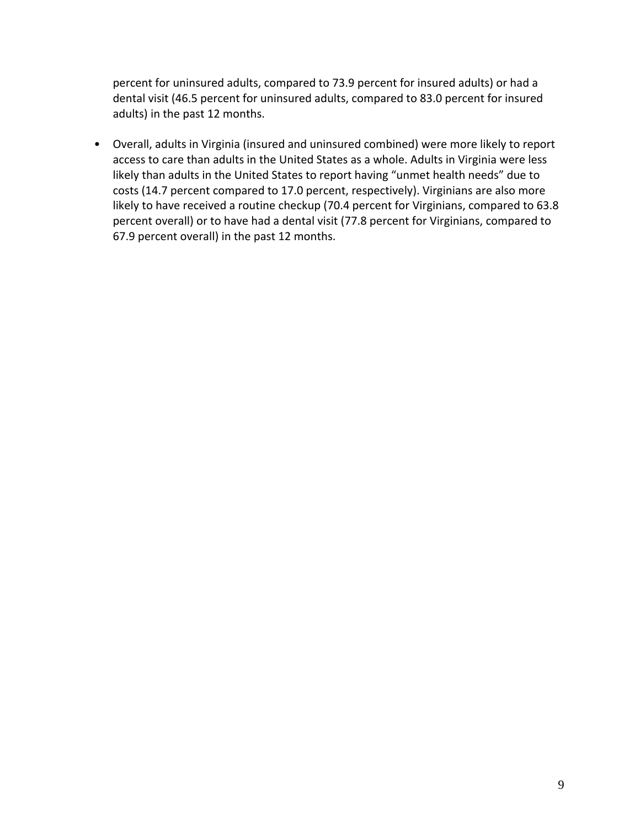percent for uninsured adults, compared to 73.9 percent for insured adults) or had a dental visit (46.5 percent for uninsured adults, compared to 83.0 percent for insured adults) in the past 12 months.

• Overall, adults in Virginia (insured and uninsured combined) were more likely to report access to care than adults in the United States as a whole. Adults in Virginia were less likely than adults in the United States to report having "unmet health needs" due to costs (14.7 percent compared to 17.0 percent, respectively). Virginians are also more likely to have received a routine checkup (70.4 percent for Virginians, compared to 63.8 percent overall) or to have had a dental visit (77.8 percent for Virginians, compared to 67.9 percent overall) in the past 12 months.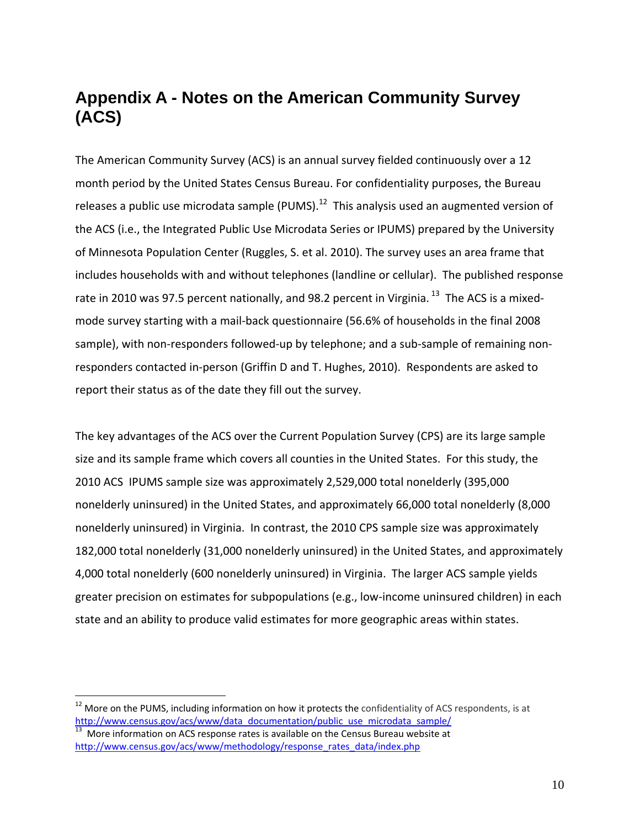# **Appendix A - Notes on the American Community Survey (ACS)**

The American Community Survey (ACS) is an annual survey fielded continuously over a 12 month period by the United States Census Bureau. For confidentiality purposes, the Bureau releases a public use microdata sample (PUMS). $12$  This analysis used an augmented version of the ACS (i.e., the Integrated Public Use Microdata Series or IPUMS) prepared by the University of Minnesota Population Center (Ruggles, S. et al. 2010). The survey uses an area frame that includes households with and without telephones (landline or cellular). The published response rate in 2010 was 97.5 percent nationally, and 98.2 percent in Virginia.<sup>13</sup> The ACS is a mixedmode survey starting with a mail‐back questionnaire (56.6% of households in the final 2008 sample), with non-responders followed-up by telephone; and a sub-sample of remaining nonresponders contacted in‐person (Griffin D and T. Hughes, 2010). Respondents are asked to report their status as of the date they fill out the survey.

The key advantages of the ACS over the Current Population Survey (CPS) are its large sample size and its sample frame which covers all counties in the United States. For this study, the 2010 ACS IPUMS sample size was approximately 2,529,000 total nonelderly (395,000 nonelderly uninsured) in the United States, and approximately 66,000 total nonelderly (8,000 nonelderly uninsured) in Virginia. In contrast, the 2010 CPS sample size was approximately 182,000 total nonelderly (31,000 nonelderly uninsured) in the United States, and approximately 4,000 total nonelderly (600 nonelderly uninsured) in Virginia. The larger ACS sample yields greater precision on estimates for subpopulations (e.g., low-income uninsured children) in each state and an ability to produce valid estimates for more geographic areas within states.

 $\overline{a}$ 

 $12$  More on the PUMS, including information on how it protects the confidentiality of ACS respondents, is at http://www.census.gov/acs/www/data\_documentation/public\_use\_microdata\_sample/<br><sup>13</sup> More information on ACS response rates is available on the Census Bureau website at

http://www.census.gov/acs/www/methodology/response\_rates\_data/index.php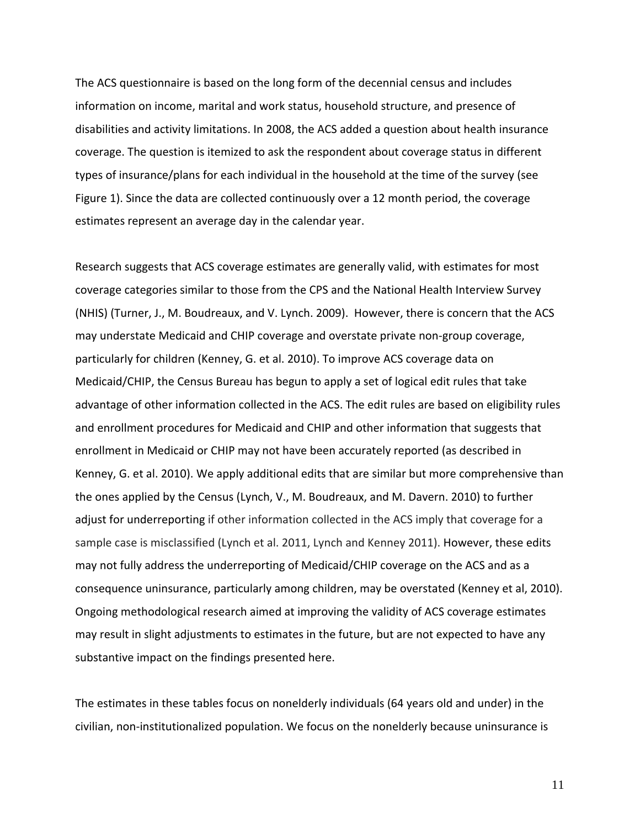The ACS questionnaire is based on the long form of the decennial census and includes information on income, marital and work status, household structure, and presence of disabilities and activity limitations. In 2008, the ACS added a question about health insurance coverage. The question is itemized to ask the respondent about coverage status in different types of insurance/plans for each individual in the household at the time of the survey (see Figure 1). Since the data are collected continuously over a 12 month period, the coverage estimates represent an average day in the calendar year.

Research suggests that ACS coverage estimates are generally valid, with estimates for most coverage categories similar to those from the CPS and the National Health Interview Survey (NHIS) (Turner, J., M. Boudreaux, and V. Lynch. 2009). However, there is concern that the ACS may understate Medicaid and CHIP coverage and overstate private non‐group coverage, particularly for children (Kenney, G. et al. 2010). To improve ACS coverage data on Medicaid/CHIP, the Census Bureau has begun to apply a set of logical edit rules that take advantage of other information collected in the ACS. The edit rules are based on eligibility rules and enrollment procedures for Medicaid and CHIP and other information that suggests that enrollment in Medicaid or CHIP may not have been accurately reported (as described in Kenney, G. et al. 2010). We apply additional edits that are similar but more comprehensive than the ones applied by the Census (Lynch, V., M. Boudreaux, and M. Davern. 2010) to further adjust for underreporting if other information collected in the ACS imply that coverage for a sample case is misclassified (Lynch et al. 2011, Lynch and Kenney 2011). However, these edits may not fully address the underreporting of Medicaid/CHIP coverage on the ACS and as a consequence uninsurance, particularly among children, may be overstated (Kenney et al, 2010). Ongoing methodological research aimed at improving the validity of ACS coverage estimates may result in slight adjustments to estimates in the future, but are not expected to have any substantive impact on the findings presented here.

The estimates in these tables focus on nonelderly individuals (64 years old and under) in the civilian, non‐institutionalized population. We focus on the nonelderly because uninsurance is

11